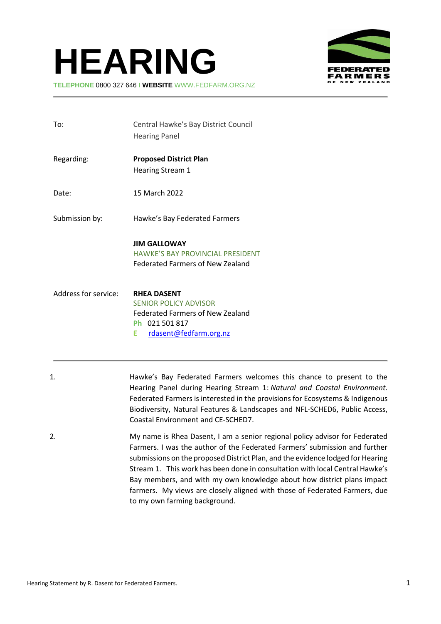# **HEARING**



**TELEPHONE** 0800 327 646 I **WEBSITE** WWW.FEDFARM.ORG.NZ

| To:                  | Central Hawke's Bay District Council<br><b>Hearing Panel</b>                                                                                   |
|----------------------|------------------------------------------------------------------------------------------------------------------------------------------------|
| Regarding:           | <b>Proposed District Plan</b><br><b>Hearing Stream 1</b>                                                                                       |
| Date:                | 15 March 2022                                                                                                                                  |
| Submission by:       | Hawke's Bay Federated Farmers                                                                                                                  |
|                      | <b>JIM GALLOWAY</b><br><b>HAWKE'S BAY PROVINCIAL PRESIDENT</b><br><b>Federated Farmers of New Zealand</b>                                      |
| Address for service: | <b>RHEA DASENT</b><br><b>SENIOR POLICY ADVISOR</b><br><b>Federated Farmers of New Zealand</b><br>Ph 021 501 817<br>rdasent@fedfarm.org.nz<br>Е |

- 1. Hawke's Bay Federated Farmers welcomes this chance to present to the Hearing Panel during Hearing Stream 1: *Natural and Coastal Environment.*  Federated Farmers is interested in the provisions for Ecosystems & Indigenous Biodiversity, Natural Features & Landscapes and NFL-SCHED6, Public Access, Coastal Environment and CE-SCHED7.
- 2. My name is Rhea Dasent, I am a senior regional policy advisor for Federated Farmers. I was the author of the Federated Farmers' submission and further submissions on the proposed District Plan, and the evidence lodged for Hearing Stream 1. This work has been done in consultation with local Central Hawke's Bay members, and with my own knowledge about how district plans impact farmers. My views are closely aligned with those of Federated Farmers, due to my own farming background.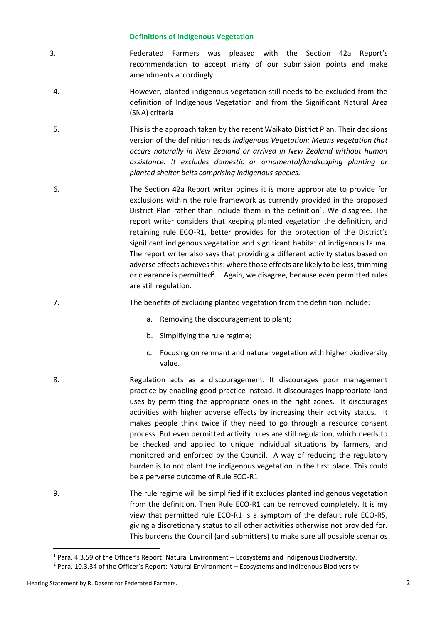# **Definitions of Indigenous Vegetation**

- 3. Federated Farmers was pleased with the Section 42a Report's recommendation to accept many of our submission points and make amendments accordingly.
- 4. However, planted indigenous vegetation still needs to be excluded from the definition of Indigenous Vegetation and from the Significant Natural Area (SNA) criteria.
- 5. This is the approach taken by the recent Waikato District Plan. Their decisions version of the definition reads *Indigenous Vegetation: Means vegetation that occurs naturally in New Zealand or arrived in New Zealand without human assistance. It excludes domestic or ornamental/landscaping planting or planted shelter belts comprising indigenous species.*
- 6. The Section 42a Report writer opines it is more appropriate to provide for exclusions within the rule framework as currently provided in the proposed District Plan rather than include them in the definition<sup>1</sup>. We disagree. The report writer considers that keeping planted vegetation the definition, and retaining rule ECO-R1, better provides for the protection of the District's significant indigenous vegetation and significant habitat of indigenous fauna. The report writer also says that providing a different activity status based on adverse effects achieves this: where those effects are likely to be less, trimming or clearance is permitted<sup>2</sup>. Again, we disagree, because even permitted rules are still regulation.
- 7. The benefits of excluding planted vegetation from the definition include:
	- a. Removing the discouragement to plant;
	- b. Simplifying the rule regime;
	- c. Focusing on remnant and natural vegetation with higher biodiversity value.
- 8. Regulation acts as a discouragement. It discourages poor management practice by enabling good practice instead. It discourages inappropriate land uses by permitting the appropriate ones in the right zones. It discourages activities with higher adverse effects by increasing their activity status. It makes people think twice if they need to go through a resource consent process. But even permitted activity rules are still regulation, which needs to be checked and applied to unique individual situations by farmers, and monitored and enforced by the Council. A way of reducing the regulatory burden is to not plant the indigenous vegetation in the first place. This could be a perverse outcome of Rule ECO-R1.
- 9. The rule regime will be simplified if it excludes planted indigenous vegetation from the definition. Then Rule ECO-R1 can be removed completely. It is my view that permitted rule ECO-R1 is a symptom of the default rule ECO-R5, giving a discretionary status to all other activities otherwise not provided for. This burdens the Council (and submitters) to make sure all possible scenarios

1

<sup>1</sup> Para. 4.3.59 of the Officer's Report: Natural Environment – Ecosystems and Indigenous Biodiversity.

<sup>2</sup> Para. 10.3.34 of the Officer's Report: Natural Environment – Ecosystems and Indigenous Biodiversity.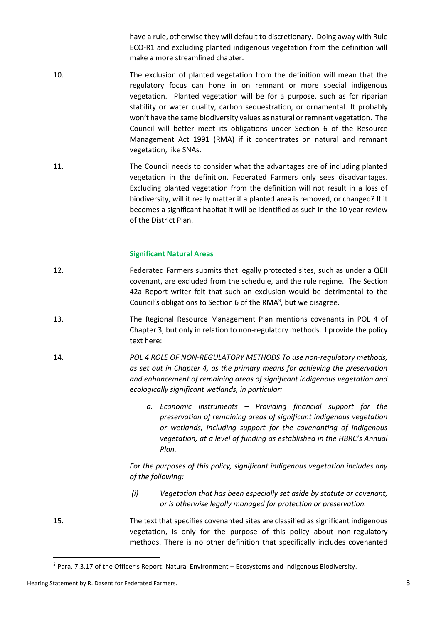have a rule, otherwise they will default to discretionary. Doing away with Rule ECO-R1 and excluding planted indigenous vegetation from the definition will make a more streamlined chapter.

- 10. The exclusion of planted vegetation from the definition will mean that the regulatory focus can hone in on remnant or more special indigenous vegetation. Planted vegetation will be for a purpose, such as for riparian stability or water quality, carbon sequestration, or ornamental. It probably won't have the same biodiversity values as natural or remnant vegetation. The Council will better meet its obligations under Section 6 of the Resource Management Act 1991 (RMA) if it concentrates on natural and remnant vegetation, like SNAs.
- 11. The Council needs to consider what the advantages are of including planted vegetation in the definition. Federated Farmers only sees disadvantages. Excluding planted vegetation from the definition will not result in a loss of biodiversity, will it really matter if a planted area is removed, or changed? If it becomes a significant habitat it will be identified as such in the 10 year review of the District Plan.

### **Significant Natural Areas**

- 12. Federated Farmers submits that legally protected sites, such as under a QEII covenant, are excluded from the schedule, and the rule regime. The Section 42a Report writer felt that such an exclusion would be detrimental to the Council's obligations to Section 6 of the RMA<sup>3</sup>, but we disagree.
- 13. The Regional Resource Management Plan mentions covenants in POL 4 of Chapter 3, but only in relation to non-regulatory methods. I provide the policy text here:
- 14. *POL 4 ROLE OF NON-REGULATORY METHODS To use non-regulatory methods, as set out in Chapter 4, as the primary means for achieving the preservation and enhancement of remaining areas of significant indigenous vegetation and ecologically significant wetlands, in particular:* 
	- *a. Economic instruments – Providing financial support for the preservation of remaining areas of significant indigenous vegetation or wetlands, including support for the covenanting of indigenous vegetation, at a level of funding as established in the HBRC's Annual Plan.*

*For the purposes of this policy, significant indigenous vegetation includes any of the following:*

- *(i) Vegetation that has been especially set aside by statute or covenant, or is otherwise legally managed for protection or preservation.*
- 15. The text that specifies covenanted sites are classified as significant indigenous vegetation, is only for the purpose of this policy about non-regulatory methods. There is no other definition that specifically includes covenanted

**.** 

<sup>3</sup> Para. 7.3.17 of the Officer's Report: Natural Environment – Ecosystems and Indigenous Biodiversity.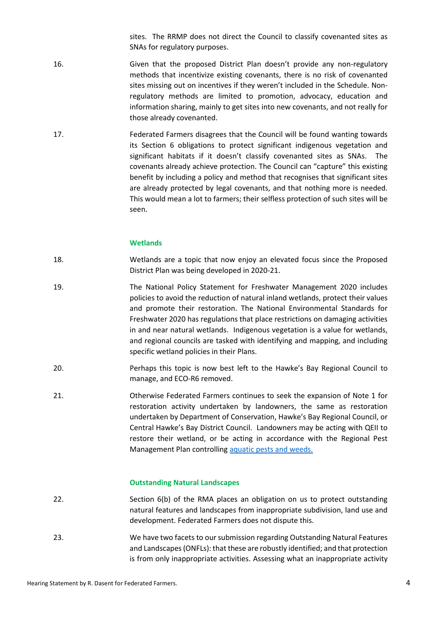sites. The RRMP does not direct the Council to classify covenanted sites as SNAs for regulatory purposes.

- 16. Given that the proposed District Plan doesn't provide any non-regulatory methods that incentivize existing covenants, there is no risk of covenanted sites missing out on incentives if they weren't included in the Schedule. Nonregulatory methods are limited to promotion, advocacy, education and information sharing, mainly to get sites into new covenants, and not really for those already covenanted.
- 17. Federated Farmers disagrees that the Council will be found wanting towards its Section 6 obligations to protect significant indigenous vegetation and significant habitats if it doesn't classify covenanted sites as SNAs. The covenants already achieve protection. The Council can "capture" this existing benefit by including a policy and method that recognises that significant sites are already protected by legal covenants, and that nothing more is needed. This would mean a lot to farmers; their selfless protection of such sites will be seen.

### **Wetlands**

- 18. Wetlands are a topic that now enjoy an elevated focus since the Proposed District Plan was being developed in 2020-21.
- 19. The National Policy Statement for Freshwater Management 2020 includes policies to avoid the reduction of natural inland wetlands, protect their values and promote their restoration. The National Environmental Standards for Freshwater 2020 has regulations that place restrictions on damaging activities in and near natural wetlands. Indigenous vegetation is a value for wetlands, and regional councils are tasked with identifying and mapping, and including specific wetland policies in their Plans.
- 20. Perhaps this topic is now best left to the Hawke's Bay Regional Council to manage, and ECO-R6 removed.
- 21. Otherwise Federated Farmers continues to seek the expansion of Note 1 for restoration activity undertaken by landowners, the same as restoration undertaken by Department of Conservation, Hawke's Bay Regional Council, or Central Hawke's Bay District Council. Landowners may be acting with QEII to restore their wetland, or be acting in accordance with the Regional Pest Management Plan controlling [aquatic pests and weeds.](https://www.hbrc.govt.nz/environment/pest-control/pest-hub/?pwsystem=true&tags=freshwater&sort=alpha)

#### **Outstanding Natural Landscapes**

- 22. Section 6(b) of the RMA places an obligation on us to protect outstanding natural features and landscapes from inappropriate subdivision, land use and development. Federated Farmers does not dispute this.
- 23. We have two facets to our submission regarding Outstanding Natural Features and Landscapes (ONFLs): that these are robustly identified; and that protection is from only inappropriate activities. Assessing what an inappropriate activity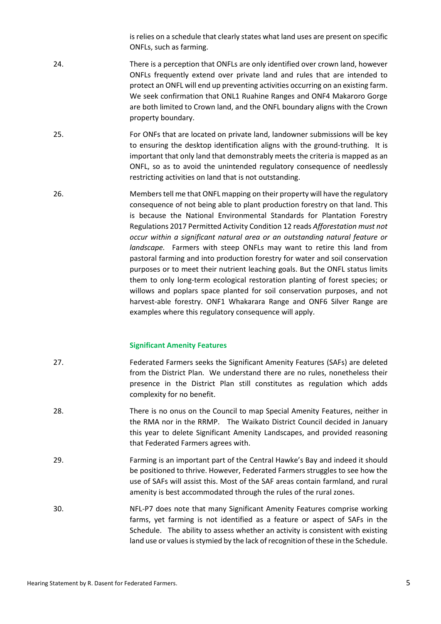is relies on a schedule that clearly states what land uses are present on specific ONFLs, such as farming.

- 24. There is a perception that ONFLs are only identified over crown land, however ONFLs frequently extend over private land and rules that are intended to protect an ONFL will end up preventing activities occurring on an existing farm. We seek confirmation that ONL1 Ruahine Ranges and ONF4 Makaroro Gorge are both limited to Crown land, and the ONFL boundary aligns with the Crown property boundary.
- 25. For ONFs that are located on private land, landowner submissions will be key to ensuring the desktop identification aligns with the ground-truthing. It is important that only land that demonstrably meets the criteria is mapped as an ONFL, so as to avoid the unintended regulatory consequence of needlessly restricting activities on land that is not outstanding.
- 26. Members tell me that ONFL mapping on their property will have the regulatory consequence of not being able to plant production forestry on that land. This is because the National Environmental Standards for Plantation Forestry Regulations 2017 Permitted Activity Condition 12 reads *Afforestation must not occur within a significant natural area or an outstanding natural feature or landscape.* Farmers with steep ONFLs may want to retire this land from pastoral farming and into production forestry for water and soil conservation purposes or to meet their nutrient leaching goals. But the ONFL status limits them to only long-term ecological restoration planting of forest species; or willows and poplars space planted for soil conservation purposes, and not harvest-able forestry. ONF1 Whakarara Range and ONF6 Silver Range are examples where this regulatory consequence will apply.

## **Significant Amenity Features**

- 27. Federated Farmers seeks the Significant Amenity Features (SAFs) are deleted from the District Plan. We understand there are no rules, nonetheless their presence in the District Plan still constitutes as regulation which adds complexity for no benefit.
- 28. There is no onus on the Council to map Special Amenity Features, neither in the RMA nor in the RRMP. The Waikato District Council decided in January this year to delete Significant Amenity Landscapes, and provided reasoning that Federated Farmers agrees with.
- 29. Farming is an important part of the Central Hawke's Bay and indeed it should be positioned to thrive. However, Federated Farmers struggles to see how the use of SAFs will assist this. Most of the SAF areas contain farmland, and rural amenity is best accommodated through the rules of the rural zones.
- 30. NFL-P7 does note that many Significant Amenity Features comprise working farms, yet farming is not identified as a feature or aspect of SAFs in the Schedule. The ability to assess whether an activity is consistent with existing land use or values is stymied by the lack of recognition of these in the Schedule.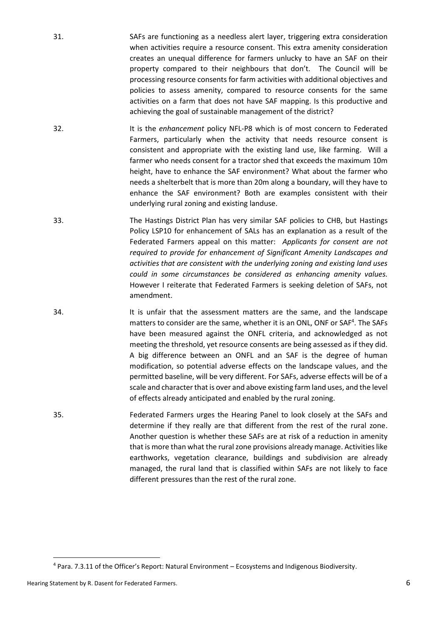- 31. SAFs are functioning as a needless alert layer, triggering extra consideration when activities require a resource consent. This extra amenity consideration creates an unequal difference for farmers unlucky to have an SAF on their property compared to their neighbours that don't. The Council will be processing resource consents for farm activities with additional objectives and policies to assess amenity, compared to resource consents for the same activities on a farm that does not have SAF mapping. Is this productive and achieving the goal of sustainable management of the district?
- 32. It is the *enhancement* policy NFL-P8 which is of most concern to Federated Farmers, particularly when the activity that needs resource consent is consistent and appropriate with the existing land use, like farming. Will a farmer who needs consent for a tractor shed that exceeds the maximum 10m height, have to enhance the SAF environment? What about the farmer who needs a shelterbelt that is more than 20m along a boundary, will they have to enhance the SAF environment? Both are examples consistent with their underlying rural zoning and existing landuse.
- 33. The Hastings District Plan has very similar SAF policies to CHB, but Hastings Policy LSP10 for enhancement of SALs has an explanation as a result of the Federated Farmers appeal on this matter: *Applicants for consent are not required to provide for enhancement of Significant Amenity Landscapes and activities that are consistent with the underlying zoning and existing land uses could in some circumstances be considered as enhancing amenity values.*  However I reiterate that Federated Farmers is seeking deletion of SAFs, not amendment.
- 34. It is unfair that the assessment matters are the same, and the landscape matters to consider are the same, whether it is an ONL, ONF or SAF<sup>4</sup>. The SAFs have been measured against the ONFL criteria, and acknowledged as not meeting the threshold, yet resource consents are being assessed as if they did. A big difference between an ONFL and an SAF is the degree of human modification, so potential adverse effects on the landscape values, and the permitted baseline, will be very different. For SAFs, adverse effects will be of a scale and character that is over and above existing farm land uses, and the level of effects already anticipated and enabled by the rural zoning.
- 35. Federated Farmers urges the Hearing Panel to look closely at the SAFs and determine if they really are that different from the rest of the rural zone. Another question is whether these SAFs are at risk of a reduction in amenity that is more than what the rural zone provisions already manage. Activities like earthworks, vegetation clearance, buildings and subdivision are already managed, the rural land that is classified within SAFs are not likely to face different pressures than the rest of the rural zone.

**.** 

<sup>4</sup> Para. 7.3.11 of the Officer's Report: Natural Environment – Ecosystems and Indigenous Biodiversity.